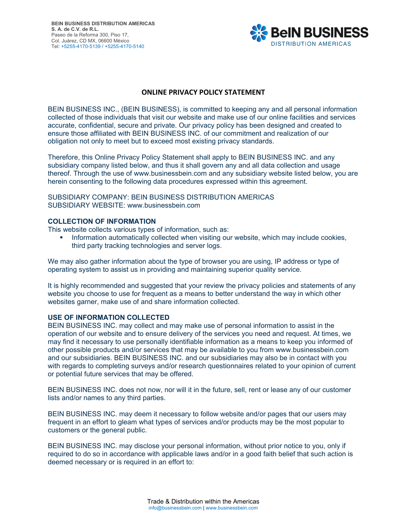

# **ONLINE PRIVACY POLICY STATEMENT**

BEIN BUSINESS INC., (BEIN BUSINESS), is committed to keeping any and all personal information collected of those individuals that visit our website and make use of our online facilities and services accurate, confidential, secure and private. Our privacy policy has been designed and created to ensure those affiliated with BEIN BUSINESS INC. of our commitment and realization of our obligation not only to meet but to exceed most existing privacy standards.

Therefore, this Online Privacy Policy Statement shall apply to BEIN BUSINESS INC. and any subsidiary company listed below, and thus it shall govern any and all data collection and usage thereof. Through the use of www.businessbein.com and any subsidiary website listed below, you are herein consenting to the following data procedures expressed within this agreement.

SUBSIDIARY COMPANY: BEIN BUSINESS DISTRIBUTION AMERICAS SUBSIDIARY WEBSITE: www.businessbein.com

## **COLLECTION OF INFORMATION**

This website collects various types of information, such as:

 Information automatically collected when visiting our website, which may include cookies, third party tracking technologies and server logs.

We may also gather information about the type of browser you are using, IP address or type of operating system to assist us in providing and maintaining superior quality service.

It is highly recommended and suggested that your review the privacy policies and statements of any website you choose to use for frequent as a means to better understand the way in which other websites garner, make use of and share information collected.

#### **USE OF INFORMATION COLLECTED**

BEIN BUSINESS INC. may collect and may make use of personal information to assist in the operation of our website and to ensure delivery of the services you need and request. At times, we may find it necessary to use personally identifiable information as a means to keep you informed of other possible products and/or services that may be available to you from www.businessbein.com and our subsidiaries. BEIN BUSINESS INC. and our subsidiaries may also be in contact with you with regards to completing surveys and/or research questionnaires related to your opinion of current or potential future services that may be offered.

BEIN BUSINESS INC. does not now, nor will it in the future, sell, rent or lease any of our customer lists and/or names to any third parties.

BEIN BUSINESS INC. may deem it necessary to follow website and/or pages that our users may frequent in an effort to gleam what types of services and/or products may be the most popular to customers or the general public.

BEIN BUSINESS INC. may disclose your personal information, without prior notice to you, only if required to do so in accordance with applicable laws and/or in a good faith belief that such action is deemed necessary or is required in an effort to: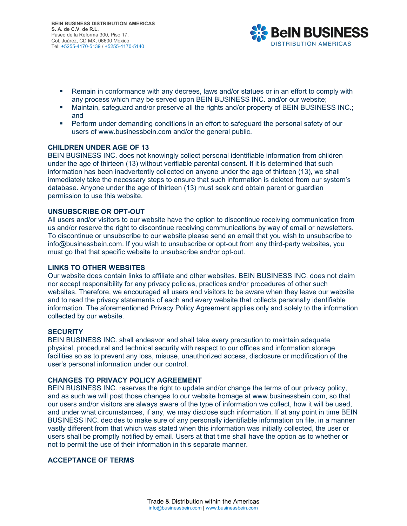

- Remain in conformance with any decrees, laws and/or statues or in an effort to comply with any process which may be served upon BEIN BUSINESS INC. and/or our website;
- Maintain, safeguard and/or preserve all the rights and/or property of BEIN BUSINESS INC.; and
- **Perform under demanding conditions in an effort to safeguard the personal safety of our** users of www.businessbein.com and/or the general public.

## **CHILDREN UNDER AGE OF 13**

BEIN BUSINESS INC. does not knowingly collect personal identifiable information from children under the age of thirteen (13) without verifiable parental consent. If it is determined that such information has been inadvertently collected on anyone under the age of thirteen (13), we shall immediately take the necessary steps to ensure that such information is deleted from our system's database. Anyone under the age of thirteen (13) must seek and obtain parent or guardian permission to use this website.

## **UNSUBSCRIBE OR OPT-OUT**

All users and/or visitors to our website have the option to discontinue receiving communication from us and/or reserve the right to discontinue receiving communications by way of email or newsletters. To discontinue or unsubscribe to our website please send an email that you wish to unsubscribe to info@businessbein.com. If you wish to unsubscribe or opt-out from any third-party websites, you must go that that specific website to unsubscribe and/or opt-out.

#### **LINKS TO OTHER WEBSITES**

Our website does contain links to affiliate and other websites. BEIN BUSINESS INC. does not claim nor accept responsibility for any privacy policies, practices and/or procedures of other such websites. Therefore, we encouraged all users and visitors to be aware when they leave our website and to read the privacy statements of each and every website that collects personally identifiable information. The aforementioned Privacy Policy Agreement applies only and solely to the information collected by our website.

#### **SECURITY**

BEIN BUSINESS INC. shall endeavor and shall take every precaution to maintain adequate physical, procedural and technical security with respect to our offices and information storage facilities so as to prevent any loss, misuse, unauthorized access, disclosure or modification of the user's personal information under our control.

## **CHANGES TO PRIVACY POLICY AGREEMENT**

BEIN BUSINESS INC. reserves the right to update and/or change the terms of our privacy policy, and as such we will post those changes to our website homage at www.businessbein.com, so that our users and/or visitors are always aware of the type of information we collect, how it will be used, and under what circumstances, if any, we may disclose such information. If at any point in time BEIN BUSINESS INC. decides to make sure of any personally identifiable information on file, in a manner vastly different from that which was stated when this information was initially collected, the user or users shall be promptly notified by email. Users at that time shall have the option as to whether or not to permit the use of their information in this separate manner.

# **ACCEPTANCE OF TERMS**